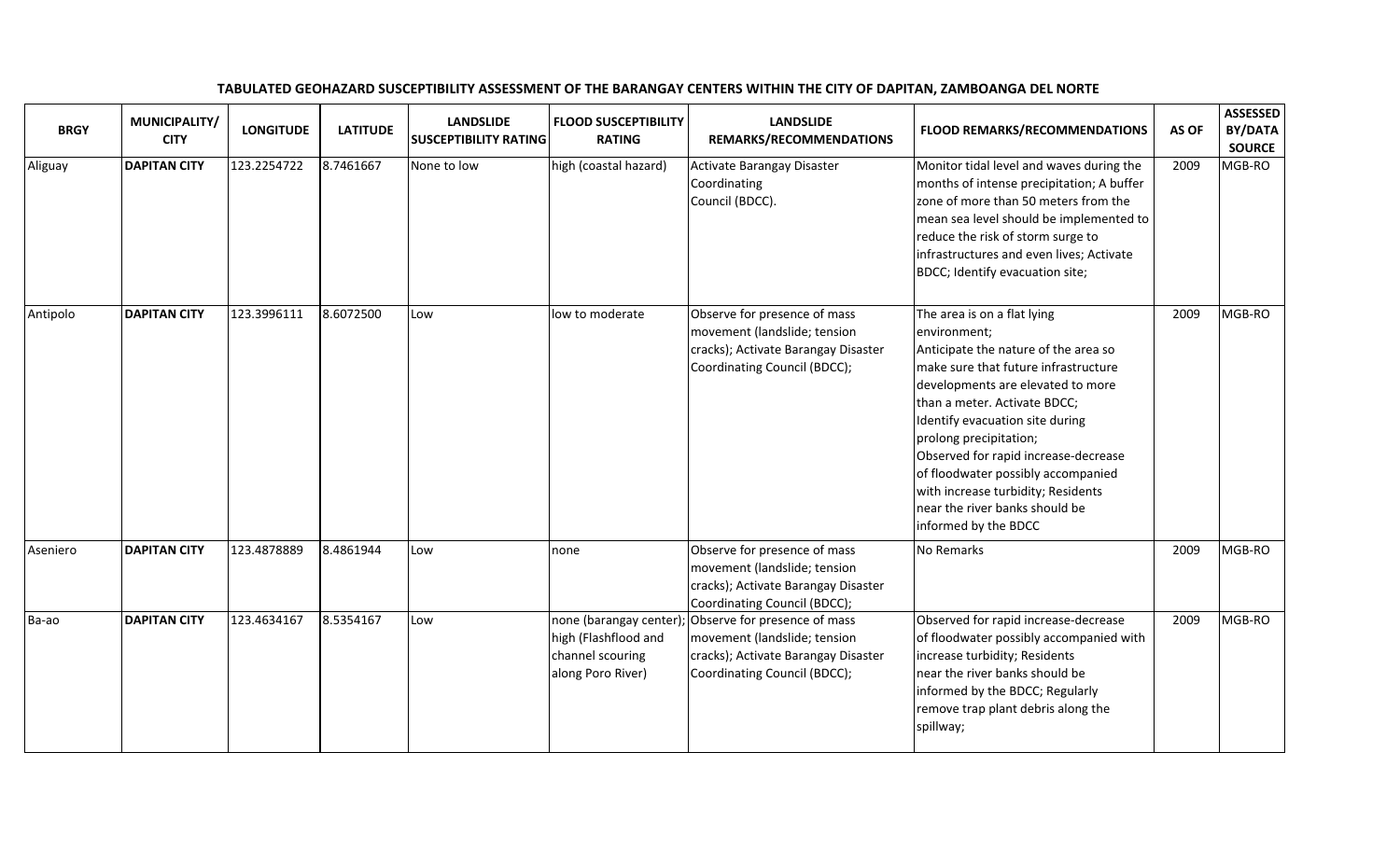| <b>BRGY</b> | MUNICIPALITY/<br><b>CITY</b> | <b>LONGITUDE</b> | <b>LATITUDE</b> | <b>LANDSLIDE</b><br><b>SUSCEPTIBILITY RATING</b> | <b>FLOOD SUSCEPTIBILITY</b><br><b>RATING</b>                  | <b>LANDSLIDE</b><br>REMARKS/RECOMMENDATIONS                                                                                                                 | <b>FLOOD REMARKS/RECOMMENDATIONS</b>                                                                                                                                                                                                                                                                                                                                                                                                        | AS OF | <b>ASSESSED</b><br>BY/DATA<br><b>SOURCE</b> |
|-------------|------------------------------|------------------|-----------------|--------------------------------------------------|---------------------------------------------------------------|-------------------------------------------------------------------------------------------------------------------------------------------------------------|---------------------------------------------------------------------------------------------------------------------------------------------------------------------------------------------------------------------------------------------------------------------------------------------------------------------------------------------------------------------------------------------------------------------------------------------|-------|---------------------------------------------|
| Aliguay     | <b>DAPITAN CITY</b>          | 123.2254722      | 8.7461667       | None to low                                      | high (coastal hazard)                                         | <b>Activate Barangay Disaster</b><br>Coordinating<br>Council (BDCC).                                                                                        | Monitor tidal level and waves during the<br>months of intense precipitation; A buffer<br>zone of more than 50 meters from the<br>mean sea level should be implemented to<br>reduce the risk of storm surge to<br>infrastructures and even lives; Activate<br>BDCC; Identify evacuation site;                                                                                                                                                | 2009  | MGB-RO                                      |
| Antipolo    | <b>DAPITAN CITY</b>          | 123.3996111      | 8.6072500       | Low                                              | low to moderate                                               | Observe for presence of mass<br>movement (landslide; tension<br>cracks); Activate Barangay Disaster<br>Coordinating Council (BDCC);                         | The area is on a flat lying<br>environment;<br>Anticipate the nature of the area so<br>make sure that future infrastructure<br>developments are elevated to more<br>than a meter. Activate BDCC;<br>Identify evacuation site during<br>prolong precipitation;<br>Observed for rapid increase-decrease<br>of floodwater possibly accompanied<br>with increase turbidity; Residents<br>near the river banks should be<br>informed by the BDCC | 2009  | MGB-RO                                      |
| Aseniero    | <b>DAPITAN CITY</b>          | 123.4878889      | 8.4861944       | Low                                              | none                                                          | Observe for presence of mass<br>movement (landslide; tension<br>cracks); Activate Barangay Disaster<br>Coordinating Council (BDCC);                         | No Remarks                                                                                                                                                                                                                                                                                                                                                                                                                                  | 2009  | MGB-RO                                      |
| Ba-ao       | <b>DAPITAN CITY</b>          | 123.4634167      | 8.5354167       | Low                                              | high (Flashflood and<br>channel scouring<br>along Poro River) | none (barangay center); Observe for presence of mass<br>movement (landslide; tension<br>cracks); Activate Barangay Disaster<br>Coordinating Council (BDCC); | Observed for rapid increase-decrease<br>of floodwater possibly accompanied with<br>increase turbidity; Residents<br>near the river banks should be<br>informed by the BDCC; Regularly<br>remove trap plant debris along the<br>spillway;                                                                                                                                                                                                    | 2009  | MGB-RO                                      |

## TABULATED GEOHAZARD SUSCEPTIBILITY ASSESSMENT OF THE BARANGAY CENTERS WITHIN THE CITY OF DAPITAN, ZAMBOANGA DEL NORTE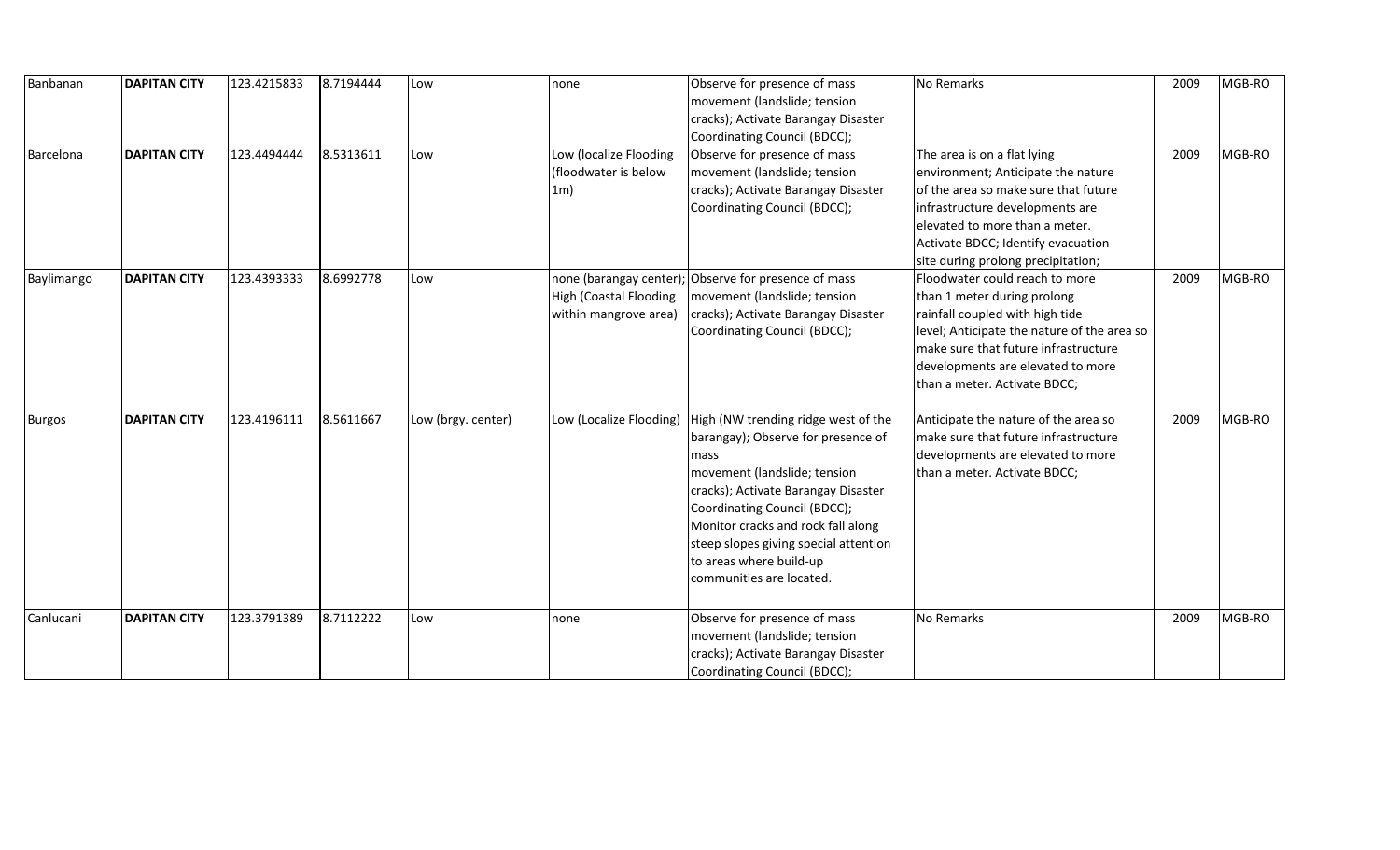| Banbanan      | <b>DAPITAN CITY</b> | 123.4215833 | 8.7194444 | Low                | none                    | Observe for presence of mass          | No Remarks                                  | 2009 | MGB-RO |
|---------------|---------------------|-------------|-----------|--------------------|-------------------------|---------------------------------------|---------------------------------------------|------|--------|
|               |                     |             |           |                    |                         | movement (landslide; tension          |                                             |      |        |
|               |                     |             |           |                    |                         | cracks); Activate Barangay Disaster   |                                             |      |        |
|               |                     |             |           |                    |                         | Coordinating Council (BDCC);          |                                             |      |        |
| Barcelona     | <b>DAPITAN CITY</b> | 123.4494444 | 8.5313611 | Low                | Low (localize Flooding  | Observe for presence of mass          | The area is on a flat lying                 | 2009 | MGB-RO |
|               |                     |             |           |                    | (floodwater is below    | movement (landslide; tension          | environment; Anticipate the nature          |      |        |
|               |                     |             |           |                    | 1 <sub>m</sub>          | cracks); Activate Barangay Disaster   | of the area so make sure that future        |      |        |
|               |                     |             |           |                    |                         | Coordinating Council (BDCC);          | infrastructure developments are             |      |        |
|               |                     |             |           |                    |                         |                                       | elevated to more than a meter.              |      |        |
|               |                     |             |           |                    |                         |                                       | Activate BDCC; Identify evacuation          |      |        |
|               |                     |             |           |                    |                         |                                       | site during prolong precipitation;          |      |        |
| Baylimango    | <b>DAPITAN CITY</b> | 123.4393333 | 8.6992778 | Low                | none (barangay center); | Observe for presence of mass          | Floodwater could reach to more              | 2009 | MGB-RO |
|               |                     |             |           |                    | High (Coastal Flooding  | movement (landslide; tension          | than 1 meter during prolong                 |      |        |
|               |                     |             |           |                    | within mangrove area)   | cracks); Activate Barangay Disaster   | rainfall coupled with high tide             |      |        |
|               |                     |             |           |                    |                         | Coordinating Council (BDCC);          | level; Anticipate the nature of the area so |      |        |
|               |                     |             |           |                    |                         |                                       | make sure that future infrastructure        |      |        |
|               |                     |             |           |                    |                         |                                       | developments are elevated to more           |      |        |
|               |                     |             |           |                    |                         |                                       | than a meter. Activate BDCC;                |      |        |
|               |                     |             |           |                    |                         |                                       |                                             |      |        |
| <b>Burgos</b> | <b>DAPITAN CITY</b> | 123.4196111 | 8.5611667 | Low (brgy. center) | Low (Localize Flooding) | High (NW trending ridge west of the   | Anticipate the nature of the area so        | 2009 | MGB-RO |
|               |                     |             |           |                    |                         | barangay); Observe for presence of    | make sure that future infrastructure        |      |        |
|               |                     |             |           |                    |                         | mass                                  | developments are elevated to more           |      |        |
|               |                     |             |           |                    |                         | movement (landslide; tension          | than a meter. Activate BDCC;                |      |        |
|               |                     |             |           |                    |                         | cracks); Activate Barangay Disaster   |                                             |      |        |
|               |                     |             |           |                    |                         | Coordinating Council (BDCC);          |                                             |      |        |
|               |                     |             |           |                    |                         | Monitor cracks and rock fall along    |                                             |      |        |
|               |                     |             |           |                    |                         | steep slopes giving special attention |                                             |      |        |
|               |                     |             |           |                    |                         | to areas where build-up               |                                             |      |        |
|               |                     |             |           |                    |                         | communities are located.              |                                             |      |        |
|               |                     |             |           |                    |                         |                                       |                                             |      |        |
| Canlucani     | <b>DAPITAN CITY</b> | 123.3791389 | 8.7112222 | Low                | none                    | Observe for presence of mass          | No Remarks                                  | 2009 | MGB-RO |
|               |                     |             |           |                    |                         | movement (landslide; tension          |                                             |      |        |
|               |                     |             |           |                    |                         | cracks); Activate Barangay Disaster   |                                             |      |        |
|               |                     |             |           |                    |                         | Coordinating Council (BDCC);          |                                             |      |        |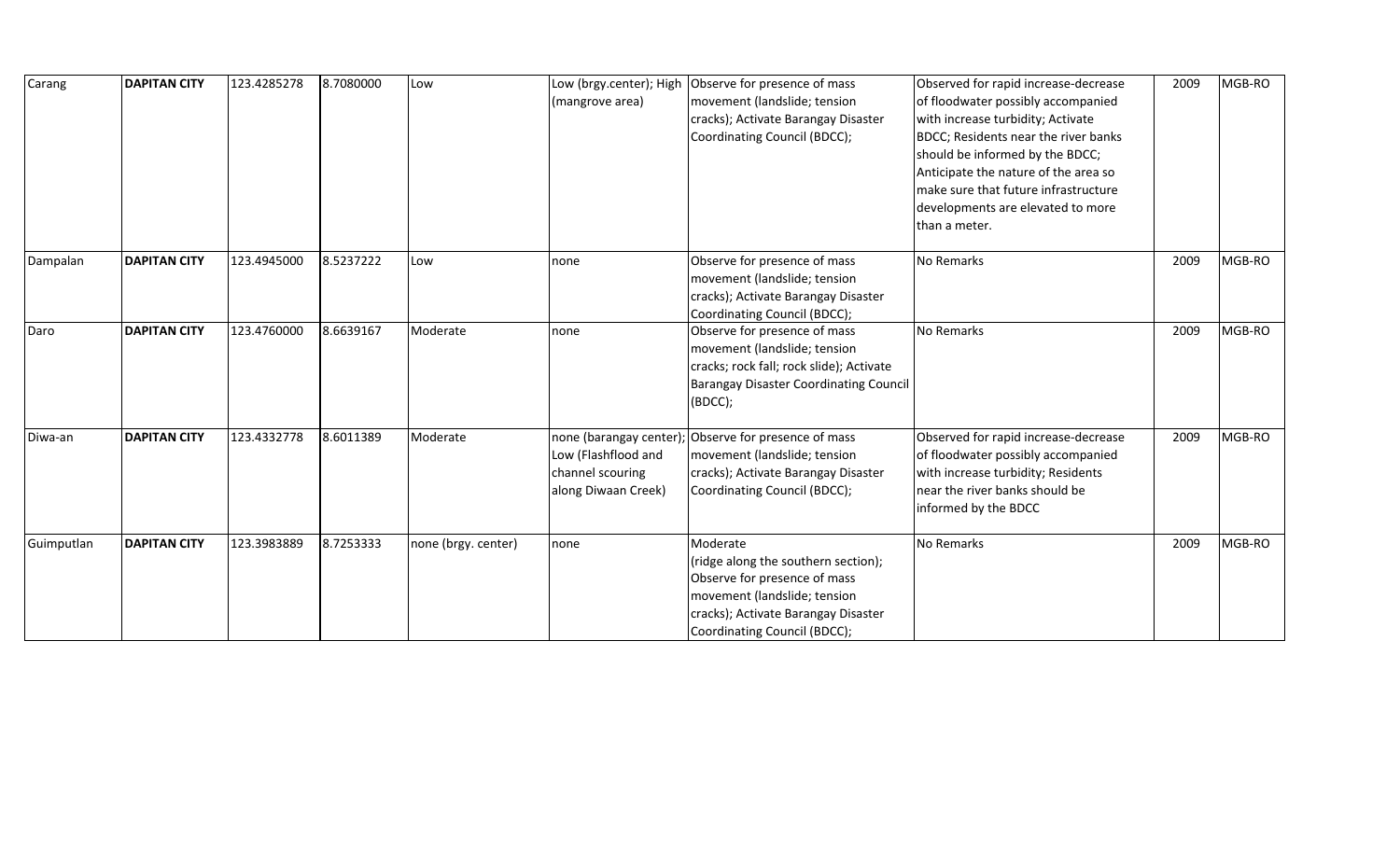| Carang     | <b>DAPITAN CITY</b> | 123.4285278 | 8.7080000 | Low                 | Low (brgy.center); High<br>(mangrove area)                                               | Observe for presence of mass<br>movement (landslide; tension<br>cracks); Activate Barangay Disaster<br>Coordinating Council (BDCC);                                                    | Observed for rapid increase-decrease<br>of floodwater possibly accompanied<br>with increase turbidity; Activate<br>BDCC; Residents near the river banks<br>should be informed by the BDCC;<br>Anticipate the nature of the area so<br>make sure that future infrastructure<br>developments are elevated to more<br>than a meter. | 2009 | MGB-RO |
|------------|---------------------|-------------|-----------|---------------------|------------------------------------------------------------------------------------------|----------------------------------------------------------------------------------------------------------------------------------------------------------------------------------------|----------------------------------------------------------------------------------------------------------------------------------------------------------------------------------------------------------------------------------------------------------------------------------------------------------------------------------|------|--------|
| Dampalan   | <b>DAPITAN CITY</b> | 123.4945000 | 8.5237222 | Low                 | none                                                                                     | Observe for presence of mass<br>movement (landslide; tension<br>cracks); Activate Barangay Disaster<br>Coordinating Council (BDCC);                                                    | No Remarks                                                                                                                                                                                                                                                                                                                       | 2009 | MGB-RO |
| Daro       | <b>DAPITAN CITY</b> | 123.4760000 | 8.6639167 | Moderate            | none                                                                                     | Observe for presence of mass<br>movement (landslide; tension<br>cracks; rock fall; rock slide); Activate<br><b>Barangay Disaster Coordinating Council</b><br>(BDCC);                   | No Remarks                                                                                                                                                                                                                                                                                                                       | 2009 | MGB-RO |
| Diwa-an    | <b>DAPITAN CITY</b> | 123.4332778 | 8.6011389 | Moderate            | none (barangay center)<br>Low (Flashflood and<br>channel scouring<br>along Diwaan Creek) | Observe for presence of mass<br>movement (landslide; tension<br>cracks); Activate Barangay Disaster<br>Coordinating Council (BDCC);                                                    | Observed for rapid increase-decrease<br>of floodwater possibly accompanied<br>with increase turbidity; Residents<br>near the river banks should be<br>informed by the BDCC                                                                                                                                                       | 2009 | MGB-RO |
| Guimputlan | <b>DAPITAN CITY</b> | 123.3983889 | 8.7253333 | none (brgy. center) | none                                                                                     | Moderate<br>(ridge along the southern section);<br>Observe for presence of mass<br>movement (landslide; tension<br>cracks); Activate Barangay Disaster<br>Coordinating Council (BDCC); | No Remarks                                                                                                                                                                                                                                                                                                                       | 2009 | MGB-RO |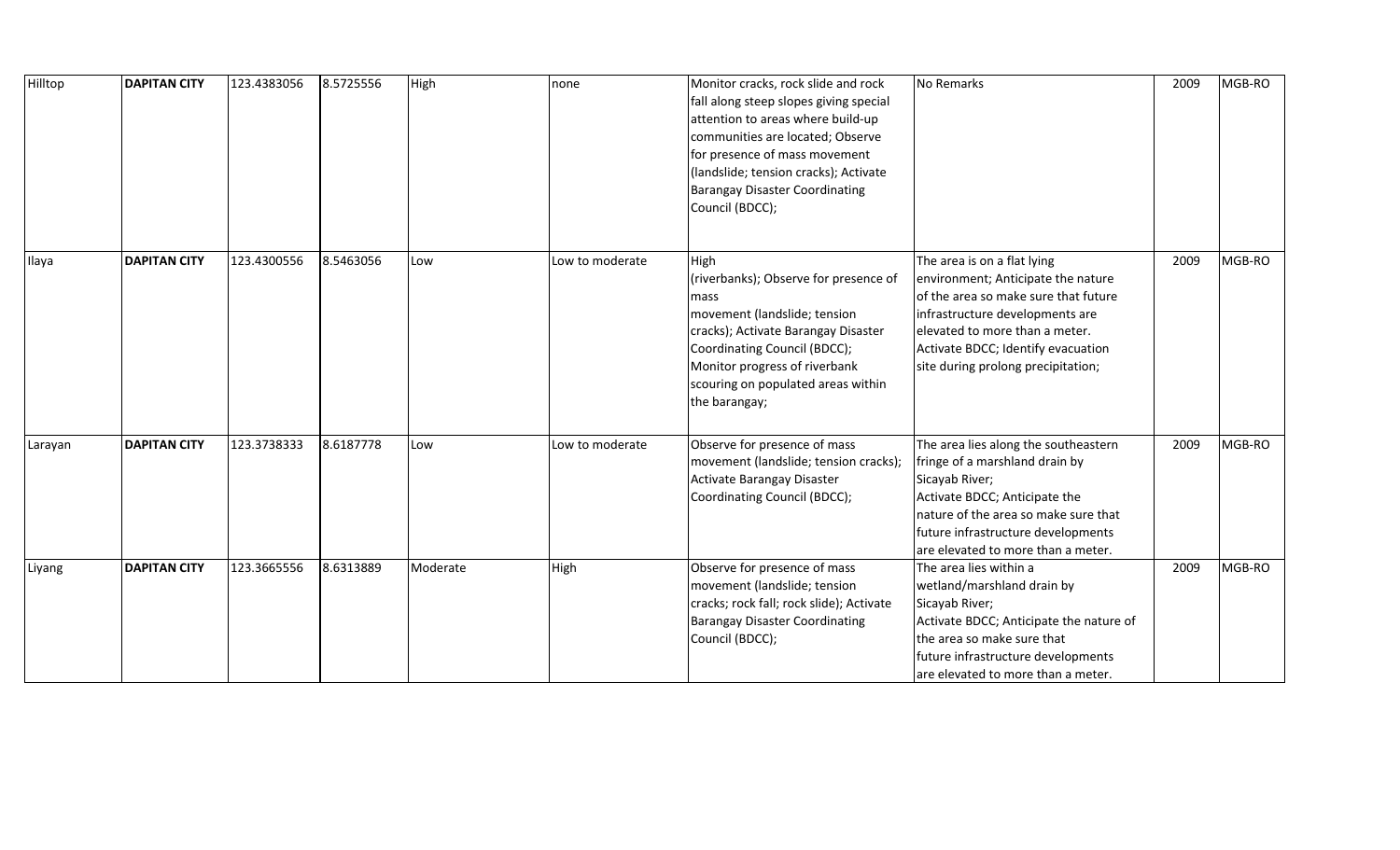| Hilltop | <b>DAPITAN CITY</b> | 123.4383056 | 8.5725556 | High     | none            | Monitor cracks, rock slide and rock<br>fall along steep slopes giving special<br>attention to areas where build-up<br>communities are located; Observe<br>for presence of mass movement<br>(landslide; tension cracks); Activate<br><b>Barangay Disaster Coordinating</b><br>Council (BDCC); | No Remarks                                                                                                                                                                                                                                                 | 2009 | MGB-RO |
|---------|---------------------|-------------|-----------|----------|-----------------|----------------------------------------------------------------------------------------------------------------------------------------------------------------------------------------------------------------------------------------------------------------------------------------------|------------------------------------------------------------------------------------------------------------------------------------------------------------------------------------------------------------------------------------------------------------|------|--------|
| Ilaya   | <b>DAPITAN CITY</b> | 123.4300556 | 8.5463056 | Low      | Low to moderate | High<br>(riverbanks); Observe for presence of<br>mass<br>movement (landslide; tension<br>cracks); Activate Barangay Disaster<br>Coordinating Council (BDCC);<br>Monitor progress of riverbank<br>scouring on populated areas within<br>the barangay;                                         | The area is on a flat lying<br>environment; Anticipate the nature<br>of the area so make sure that future<br>infrastructure developments are<br>elevated to more than a meter.<br>Activate BDCC; Identify evacuation<br>site during prolong precipitation; | 2009 | MGB-RO |
| Larayan | <b>DAPITAN CITY</b> | 123.3738333 | 8.6187778 | Low      | Low to moderate | Observe for presence of mass<br>movement (landslide; tension cracks);<br>Activate Barangay Disaster<br>Coordinating Council (BDCC);                                                                                                                                                          | The area lies along the southeastern<br>fringe of a marshland drain by<br>Sicayab River;<br>Activate BDCC; Anticipate the<br>nature of the area so make sure that<br>future infrastructure developments<br>are elevated to more than a meter.              | 2009 | MGB-RO |
| Liyang  | <b>DAPITAN CITY</b> | 123.3665556 | 8.6313889 | Moderate | High            | Observe for presence of mass<br>movement (landslide; tension<br>cracks; rock fall; rock slide); Activate<br><b>Barangay Disaster Coordinating</b><br>Council (BDCC);                                                                                                                         | The area lies within a<br>wetland/marshland drain by<br>Sicayab River;<br>Activate BDCC; Anticipate the nature of<br>the area so make sure that<br>future infrastructure developments<br>are elevated to more than a meter.                                | 2009 | MGB-RO |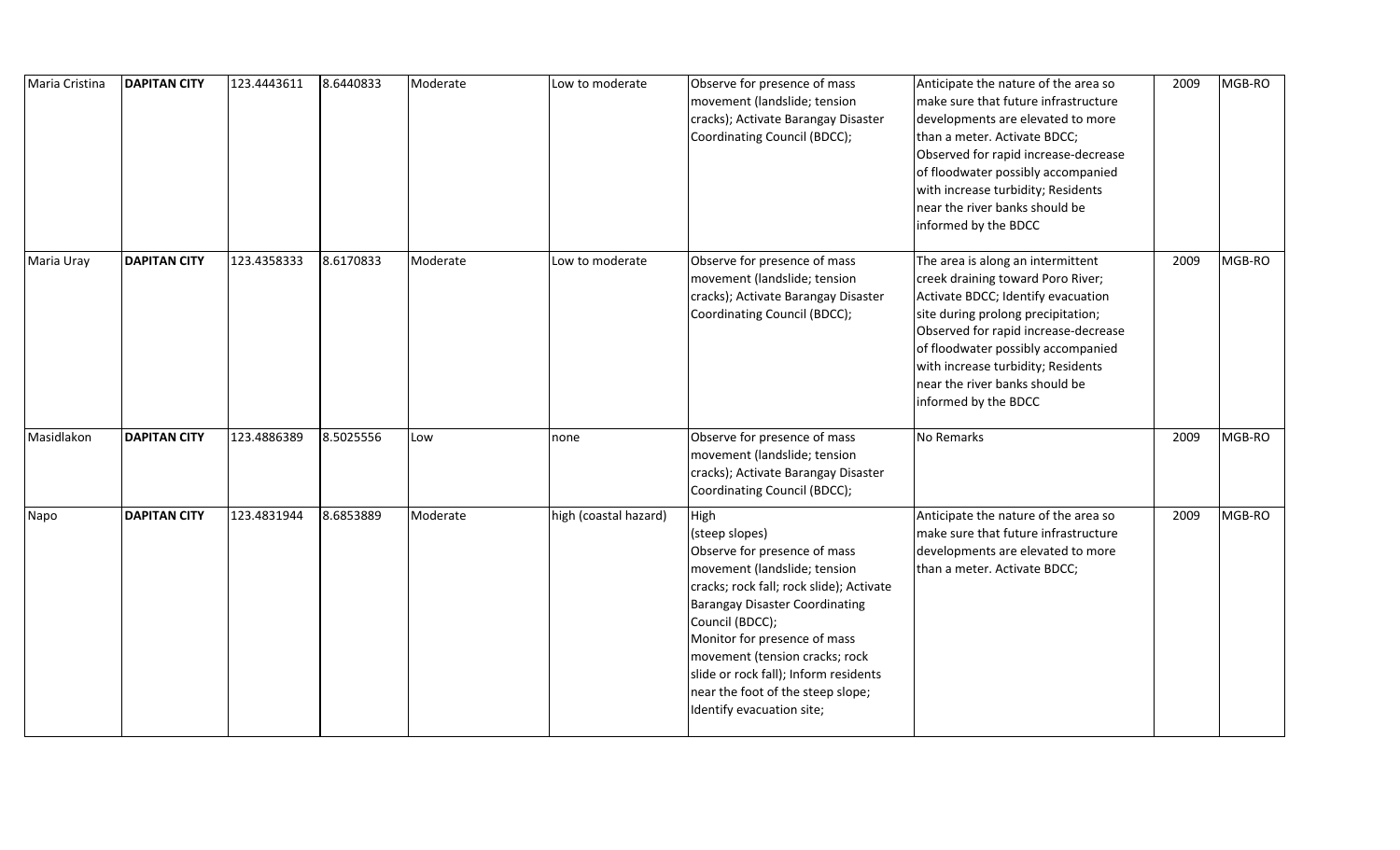| Maria Cristina | <b>DAPITAN CITY</b> | 123.4443611 | 8.6440833 | Moderate | Low to moderate       | Observe for presence of mass<br>movement (landslide; tension<br>cracks); Activate Barangay Disaster<br>Coordinating Council (BDCC);                                                                                                                                                                                                                                         | Anticipate the nature of the area so<br>make sure that future infrastructure<br>developments are elevated to more<br>than a meter. Activate BDCC;<br>Observed for rapid increase-decrease<br>of floodwater possibly accompanied<br>with increase turbidity; Residents<br>near the river banks should be<br>informed by the BDCC  | 2009 | MGB-RO |
|----------------|---------------------|-------------|-----------|----------|-----------------------|-----------------------------------------------------------------------------------------------------------------------------------------------------------------------------------------------------------------------------------------------------------------------------------------------------------------------------------------------------------------------------|----------------------------------------------------------------------------------------------------------------------------------------------------------------------------------------------------------------------------------------------------------------------------------------------------------------------------------|------|--------|
| Maria Uray     | <b>DAPITAN CITY</b> | 123.4358333 | 8.6170833 | Moderate | Low to moderate       | Observe for presence of mass<br>movement (landslide; tension<br>cracks); Activate Barangay Disaster<br>Coordinating Council (BDCC);                                                                                                                                                                                                                                         | The area is along an intermittent<br>creek draining toward Poro River;<br>Activate BDCC; Identify evacuation<br>site during prolong precipitation;<br>Observed for rapid increase-decrease<br>of floodwater possibly accompanied<br>with increase turbidity; Residents<br>near the river banks should be<br>informed by the BDCC | 2009 | MGB-RO |
| Masidlakon     | <b>DAPITAN CITY</b> | 123.4886389 | 8.5025556 | Low      | none                  | Observe for presence of mass<br>movement (landslide; tension<br>cracks); Activate Barangay Disaster<br>Coordinating Council (BDCC);                                                                                                                                                                                                                                         | No Remarks                                                                                                                                                                                                                                                                                                                       | 2009 | MGB-RO |
| Napo           | <b>DAPITAN CITY</b> | 123.4831944 | 8.6853889 | Moderate | high (coastal hazard) | High<br>(steep slopes)<br>Observe for presence of mass<br>movement (landslide; tension<br>cracks; rock fall; rock slide); Activate<br><b>Barangay Disaster Coordinating</b><br>Council (BDCC);<br>Monitor for presence of mass<br>movement (tension cracks; rock<br>slide or rock fall); Inform residents<br>near the foot of the steep slope;<br>Identify evacuation site; | Anticipate the nature of the area so<br>make sure that future infrastructure<br>developments are elevated to more<br>than a meter. Activate BDCC;                                                                                                                                                                                | 2009 | MGB-RO |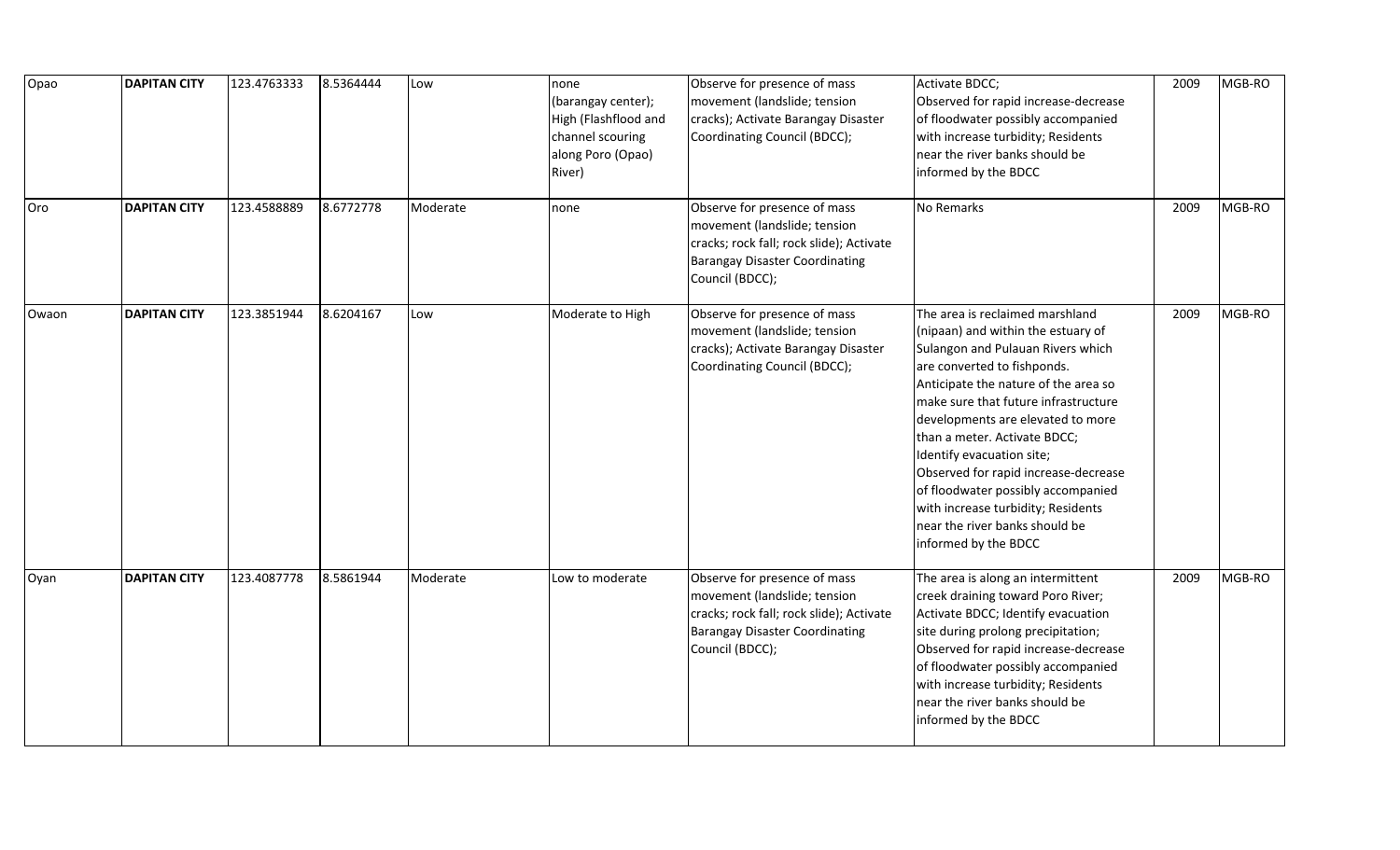| Opao  | <b>DAPITAN CITY</b> | 123.4763333 | 8.5364444 | Low      | none<br>(barangay center);<br>High (Flashflood and<br>channel scouring<br>along Poro (Opao)<br>River) | Observe for presence of mass<br>movement (landslide; tension<br>cracks); Activate Barangay Disaster<br>Coordinating Council (BDCC);                                  | Activate BDCC;<br>Observed for rapid increase-decrease<br>of floodwater possibly accompanied<br>with increase turbidity; Residents<br>near the river banks should be<br>informed by the BDCC                                                                                                                                                                                                                                                                                                              | 2009 | MGB-RO |
|-------|---------------------|-------------|-----------|----------|-------------------------------------------------------------------------------------------------------|----------------------------------------------------------------------------------------------------------------------------------------------------------------------|-----------------------------------------------------------------------------------------------------------------------------------------------------------------------------------------------------------------------------------------------------------------------------------------------------------------------------------------------------------------------------------------------------------------------------------------------------------------------------------------------------------|------|--------|
| Oro   | <b>DAPITAN CITY</b> | 123.4588889 | 8.6772778 | Moderate | none                                                                                                  | Observe for presence of mass<br>movement (landslide; tension<br>cracks; rock fall; rock slide); Activate<br><b>Barangay Disaster Coordinating</b><br>Council (BDCC); | No Remarks                                                                                                                                                                                                                                                                                                                                                                                                                                                                                                | 2009 | MGB-RO |
| Owaon | <b>DAPITAN CITY</b> | 123.3851944 | 8.6204167 | Low      | Moderate to High                                                                                      | Observe for presence of mass<br>movement (landslide; tension<br>cracks); Activate Barangay Disaster<br>Coordinating Council (BDCC);                                  | The area is reclaimed marshland<br>(nipaan) and within the estuary of<br>Sulangon and Pulauan Rivers which<br>are converted to fishponds.<br>Anticipate the nature of the area so<br>make sure that future infrastructure<br>developments are elevated to more<br>than a meter. Activate BDCC;<br>Identify evacuation site;<br>Observed for rapid increase-decrease<br>of floodwater possibly accompanied<br>with increase turbidity; Residents<br>near the river banks should be<br>informed by the BDCC | 2009 | MGB-RO |
| Oyan  | <b>DAPITAN CITY</b> | 123.4087778 | 8.5861944 | Moderate | Low to moderate                                                                                       | Observe for presence of mass<br>movement (landslide; tension<br>cracks; rock fall; rock slide); Activate<br><b>Barangay Disaster Coordinating</b><br>Council (BDCC); | The area is along an intermittent<br>creek draining toward Poro River;<br>Activate BDCC; Identify evacuation<br>site during prolong precipitation;<br>Observed for rapid increase-decrease<br>of floodwater possibly accompanied<br>with increase turbidity; Residents<br>near the river banks should be<br>informed by the BDCC                                                                                                                                                                          | 2009 | MGB-RO |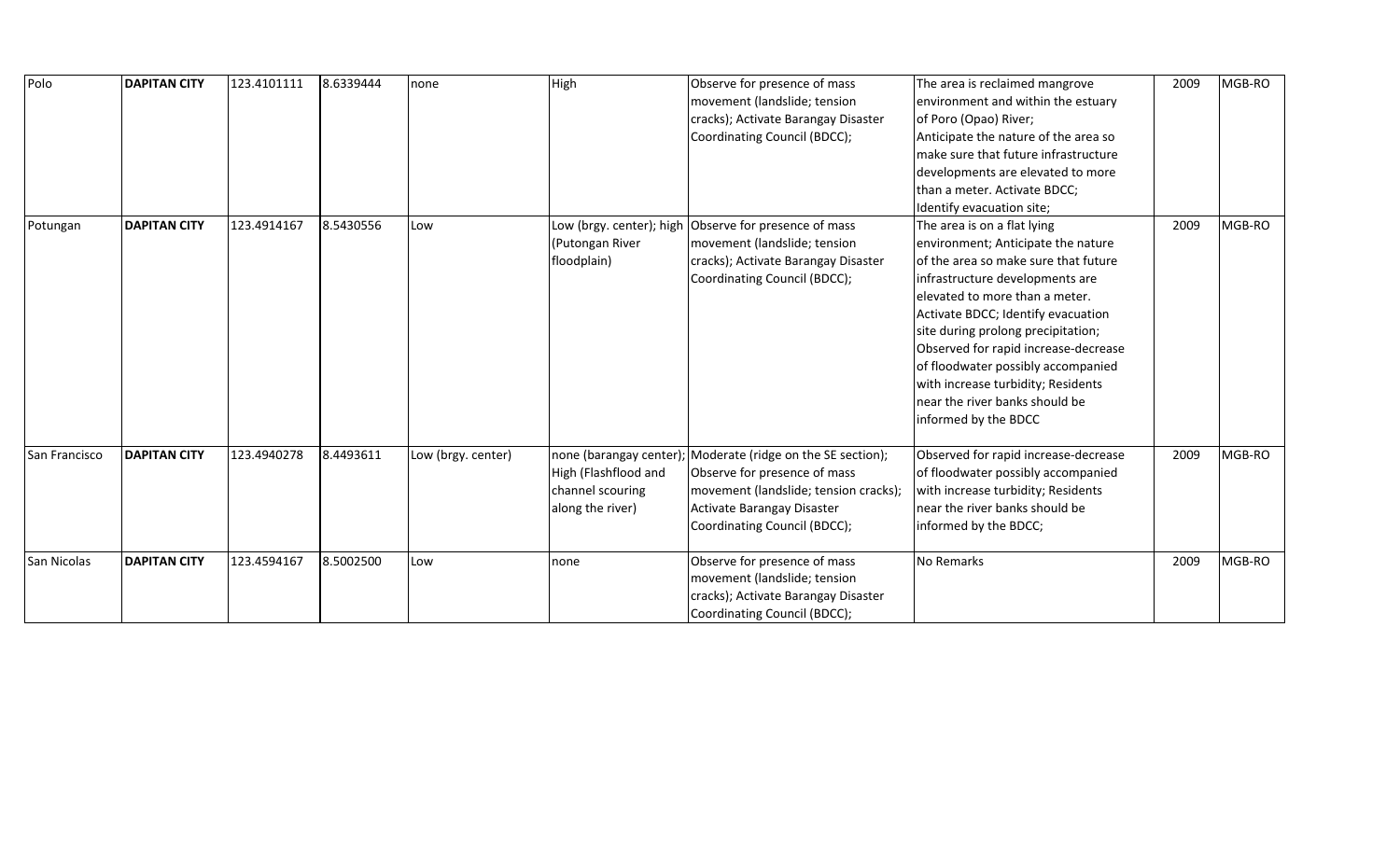| Polo          | <b>DAPITAN CITY</b> | 123.4101111 | 8.6339444 | Inone              | High                                                                                   | Observe for presence of mass<br>movement (landslide; tension<br>cracks); Activate Barangay Disaster<br>Coordinating Council (BDCC);                                        | The area is reclaimed mangrove<br>environment and within the estuary<br>of Poro (Opao) River;<br>Anticipate the nature of the area so<br>make sure that future infrastructure<br>developments are elevated to more<br>than a meter. Activate BDCC;<br>Identify evacuation site;                                                                                                                                                          | 2009 | MGB-RO |
|---------------|---------------------|-------------|-----------|--------------------|----------------------------------------------------------------------------------------|----------------------------------------------------------------------------------------------------------------------------------------------------------------------------|------------------------------------------------------------------------------------------------------------------------------------------------------------------------------------------------------------------------------------------------------------------------------------------------------------------------------------------------------------------------------------------------------------------------------------------|------|--------|
| Potungan      | <b>DAPITAN CITY</b> | 123.4914167 | 8.5430556 | Low                | Low (brgy. center); high<br>(Putongan River<br>floodplain)                             | Observe for presence of mass<br>movement (landslide; tension<br>cracks); Activate Barangay Disaster<br>Coordinating Council (BDCC);                                        | The area is on a flat lying<br>environment; Anticipate the nature<br>of the area so make sure that future<br>infrastructure developments are<br>elevated to more than a meter.<br>Activate BDCC; Identify evacuation<br>site during prolong precipitation;<br>Observed for rapid increase-decrease<br>of floodwater possibly accompanied<br>with increase turbidity; Residents<br>near the river banks should be<br>informed by the BDCC | 2009 | MGB-RO |
| San Francisco | <b>DAPITAN CITY</b> | 123.4940278 | 8.4493611 | Low (brgy. center) | none (barangay center)<br>High (Flashflood and<br>channel scouring<br>along the river) | Moderate (ridge on the SE section);<br>Observe for presence of mass<br>movement (landslide; tension cracks);<br>Activate Barangay Disaster<br>Coordinating Council (BDCC); | Observed for rapid increase-decrease<br>of floodwater possibly accompanied<br>with increase turbidity; Residents<br>near the river banks should be<br>informed by the BDCC;                                                                                                                                                                                                                                                              | 2009 | MGB-RO |
| San Nicolas   | <b>DAPITAN CITY</b> | 123.4594167 | 8.5002500 | Low                | none                                                                                   | Observe for presence of mass<br>movement (landslide; tension<br>cracks); Activate Barangay Disaster<br>Coordinating Council (BDCC);                                        | <b>No Remarks</b>                                                                                                                                                                                                                                                                                                                                                                                                                        | 2009 | MGB-RO |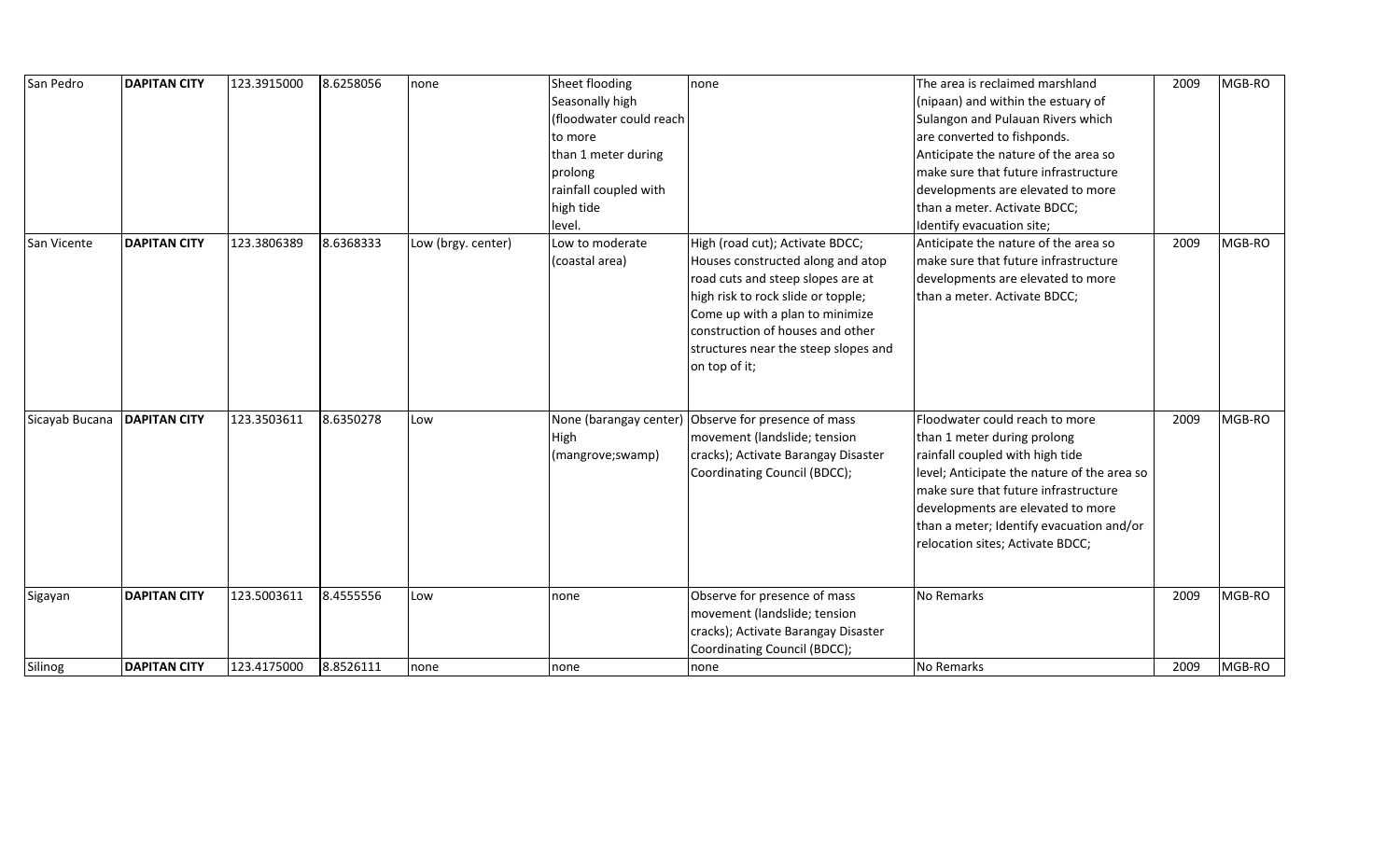| San Pedro      | <b>DAPITAN CITY</b> | 123.3915000 | 8.6258056 | none               | Sheet flooding<br>Seasonally high<br>(floodwater could reach<br>to more<br>than 1 meter during<br>prolong<br>rainfall coupled with<br>high tide<br>level. | none                                                                                                                                                                                                                                                                            | The area is reclaimed marshland<br>(nipaan) and within the estuary of<br>Sulangon and Pulauan Rivers which<br>are converted to fishponds.<br>Anticipate the nature of the area so<br>make sure that future infrastructure<br>developments are elevated to more<br>than a meter. Activate BDCC;<br>Identify evacuation site; | 2009 | MGB-RO |
|----------------|---------------------|-------------|-----------|--------------------|-----------------------------------------------------------------------------------------------------------------------------------------------------------|---------------------------------------------------------------------------------------------------------------------------------------------------------------------------------------------------------------------------------------------------------------------------------|-----------------------------------------------------------------------------------------------------------------------------------------------------------------------------------------------------------------------------------------------------------------------------------------------------------------------------|------|--------|
| San Vicente    | <b>DAPITAN CITY</b> | 123.3806389 | 8.6368333 | Low (brgy. center) | Low to moderate<br>(coastal area)                                                                                                                         | High (road cut); Activate BDCC;<br>Houses constructed along and atop<br>road cuts and steep slopes are at<br>high risk to rock slide or topple;<br>Come up with a plan to minimize<br>construction of houses and other<br>structures near the steep slopes and<br>on top of it; | Anticipate the nature of the area so<br>make sure that future infrastructure<br>developments are elevated to more<br>than a meter. Activate BDCC;                                                                                                                                                                           | 2009 | MGB-RO |
| Sicayab Bucana | <b>DAPITAN CITY</b> | 123.3503611 | 8.6350278 | Low                | None (barangay center)<br>High<br>(mangrove;swamp)                                                                                                        | Observe for presence of mass<br>movement (landslide; tension<br>cracks); Activate Barangay Disaster<br>Coordinating Council (BDCC);                                                                                                                                             | Floodwater could reach to more<br>than 1 meter during prolong<br>rainfall coupled with high tide<br>level; Anticipate the nature of the area so<br>make sure that future infrastructure<br>developments are elevated to more<br>than a meter; Identify evacuation and/or<br>relocation sites; Activate BDCC;                | 2009 | MGB-RO |
| Sigayan        | <b>DAPITAN CITY</b> | 123.5003611 | 8.4555556 | Low                | none                                                                                                                                                      | Observe for presence of mass<br>movement (landslide; tension<br>cracks); Activate Barangay Disaster<br>Coordinating Council (BDCC);                                                                                                                                             | No Remarks                                                                                                                                                                                                                                                                                                                  | 2009 | MGB-RO |
| Silinog        | <b>DAPITAN CITY</b> | 123.4175000 | 8.8526111 | none               | none                                                                                                                                                      | none                                                                                                                                                                                                                                                                            | No Remarks                                                                                                                                                                                                                                                                                                                  | 2009 | MGB-RO |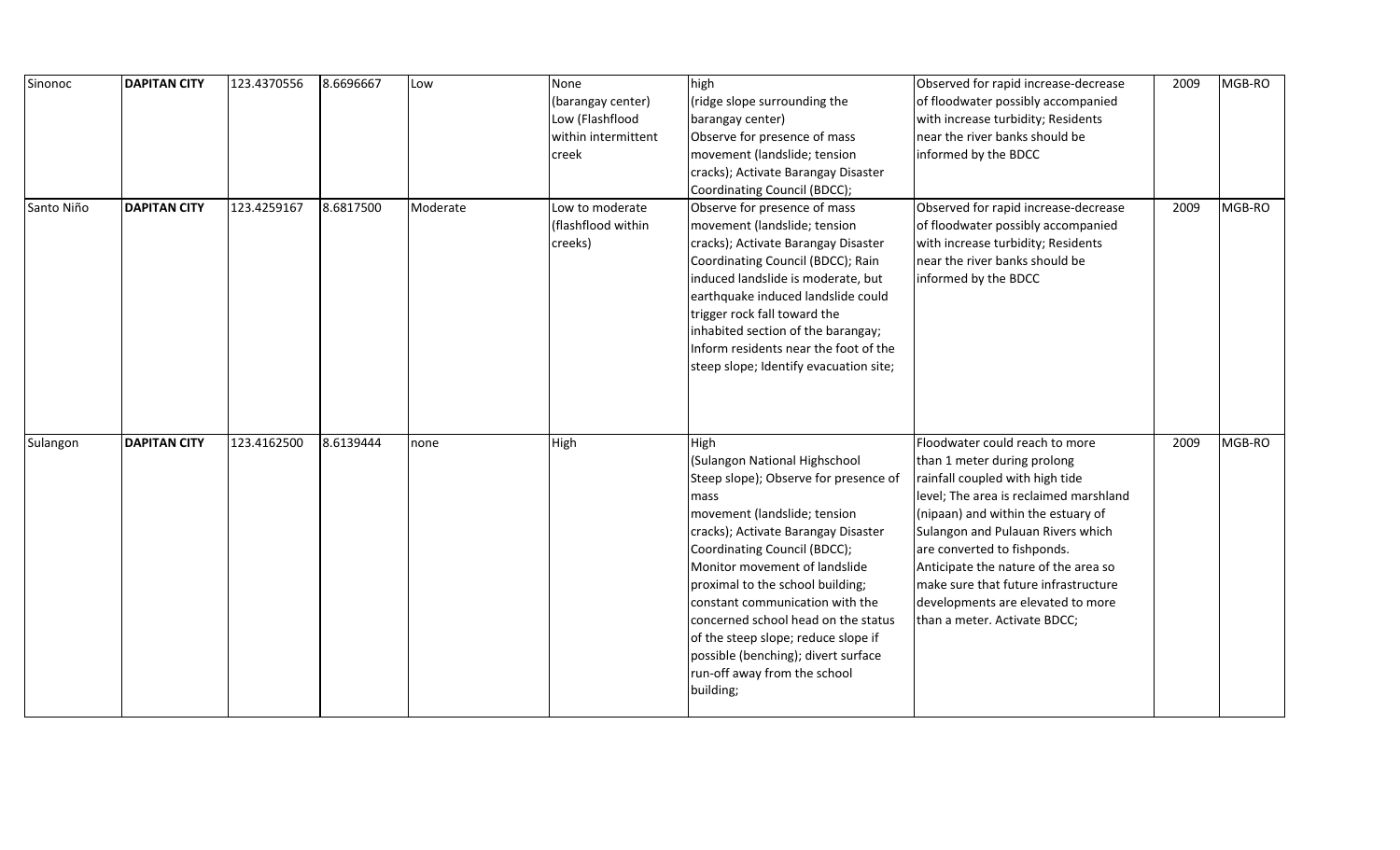| Sinonoc    | <b>DAPITAN CITY</b> | 123.4370556 | 8.6696667 | Low      | None<br>(barangay center) | high<br>(ridge slope surrounding the                                        | Observed for rapid increase-decrease<br>of floodwater possibly accompanied | 2009 | MGB-RO |
|------------|---------------------|-------------|-----------|----------|---------------------------|-----------------------------------------------------------------------------|----------------------------------------------------------------------------|------|--------|
|            |                     |             |           |          | Low (Flashflood           | barangay center)                                                            | with increase turbidity; Residents                                         |      |        |
|            |                     |             |           |          | within intermittent       | Observe for presence of mass                                                | near the river banks should be                                             |      |        |
|            |                     |             |           |          | creek                     | movement (landslide; tension                                                | informed by the BDCC                                                       |      |        |
|            |                     |             |           |          |                           | cracks); Activate Barangay Disaster                                         |                                                                            |      |        |
|            |                     |             |           |          |                           | Coordinating Council (BDCC);                                                |                                                                            |      |        |
| Santo Niño | <b>DAPITAN CITY</b> | 123.4259167 | 8.6817500 | Moderate | Low to moderate           | Observe for presence of mass                                                | Observed for rapid increase-decrease                                       | 2009 | MGB-RO |
|            |                     |             |           |          | (flashflood within        | movement (landslide; tension                                                | of floodwater possibly accompanied                                         |      |        |
|            |                     |             |           |          | creeks)                   | cracks); Activate Barangay Disaster                                         | with increase turbidity; Residents                                         |      |        |
|            |                     |             |           |          |                           | Coordinating Council (BDCC); Rain                                           | near the river banks should be                                             |      |        |
|            |                     |             |           |          |                           | induced landslide is moderate, but                                          | informed by the BDCC                                                       |      |        |
|            |                     |             |           |          |                           | earthquake induced landslide could                                          |                                                                            |      |        |
|            |                     |             |           |          |                           | trigger rock fall toward the                                                |                                                                            |      |        |
|            |                     |             |           |          |                           | inhabited section of the barangay;<br>Inform residents near the foot of the |                                                                            |      |        |
|            |                     |             |           |          |                           | steep slope; Identify evacuation site;                                      |                                                                            |      |        |
|            |                     |             |           |          |                           |                                                                             |                                                                            |      |        |
|            |                     |             |           |          |                           |                                                                             |                                                                            |      |        |
|            |                     |             |           |          |                           |                                                                             |                                                                            |      |        |
| Sulangon   | <b>DAPITAN CITY</b> | 123.4162500 | 8.6139444 | none     | High                      | <b>High</b>                                                                 | Floodwater could reach to more                                             | 2009 | MGB-RO |
|            |                     |             |           |          |                           | (Sulangon National Highschool                                               | than 1 meter during prolong                                                |      |        |
|            |                     |             |           |          |                           | Steep slope); Observe for presence of                                       | rainfall coupled with high tide                                            |      |        |
|            |                     |             |           |          |                           | mass                                                                        | level; The area is reclaimed marshland                                     |      |        |
|            |                     |             |           |          |                           | movement (landslide; tension                                                | (nipaan) and within the estuary of                                         |      |        |
|            |                     |             |           |          |                           | cracks); Activate Barangay Disaster                                         | Sulangon and Pulauan Rivers which                                          |      |        |
|            |                     |             |           |          |                           | Coordinating Council (BDCC);                                                | are converted to fishponds.                                                |      |        |
|            |                     |             |           |          |                           | Monitor movement of landslide                                               | Anticipate the nature of the area so                                       |      |        |
|            |                     |             |           |          |                           | proximal to the school building;                                            | make sure that future infrastructure                                       |      |        |
|            |                     |             |           |          |                           | constant communication with the                                             | developments are elevated to more                                          |      |        |
|            |                     |             |           |          |                           | concerned school head on the status                                         | than a meter. Activate BDCC;                                               |      |        |
|            |                     |             |           |          |                           | of the steep slope; reduce slope if                                         |                                                                            |      |        |
|            |                     |             |           |          |                           | possible (benching); divert surface                                         |                                                                            |      |        |
|            |                     |             |           |          |                           | run-off away from the school                                                |                                                                            |      |        |
|            |                     |             |           |          |                           | building;                                                                   |                                                                            |      |        |
|            |                     |             |           |          |                           |                                                                             |                                                                            |      |        |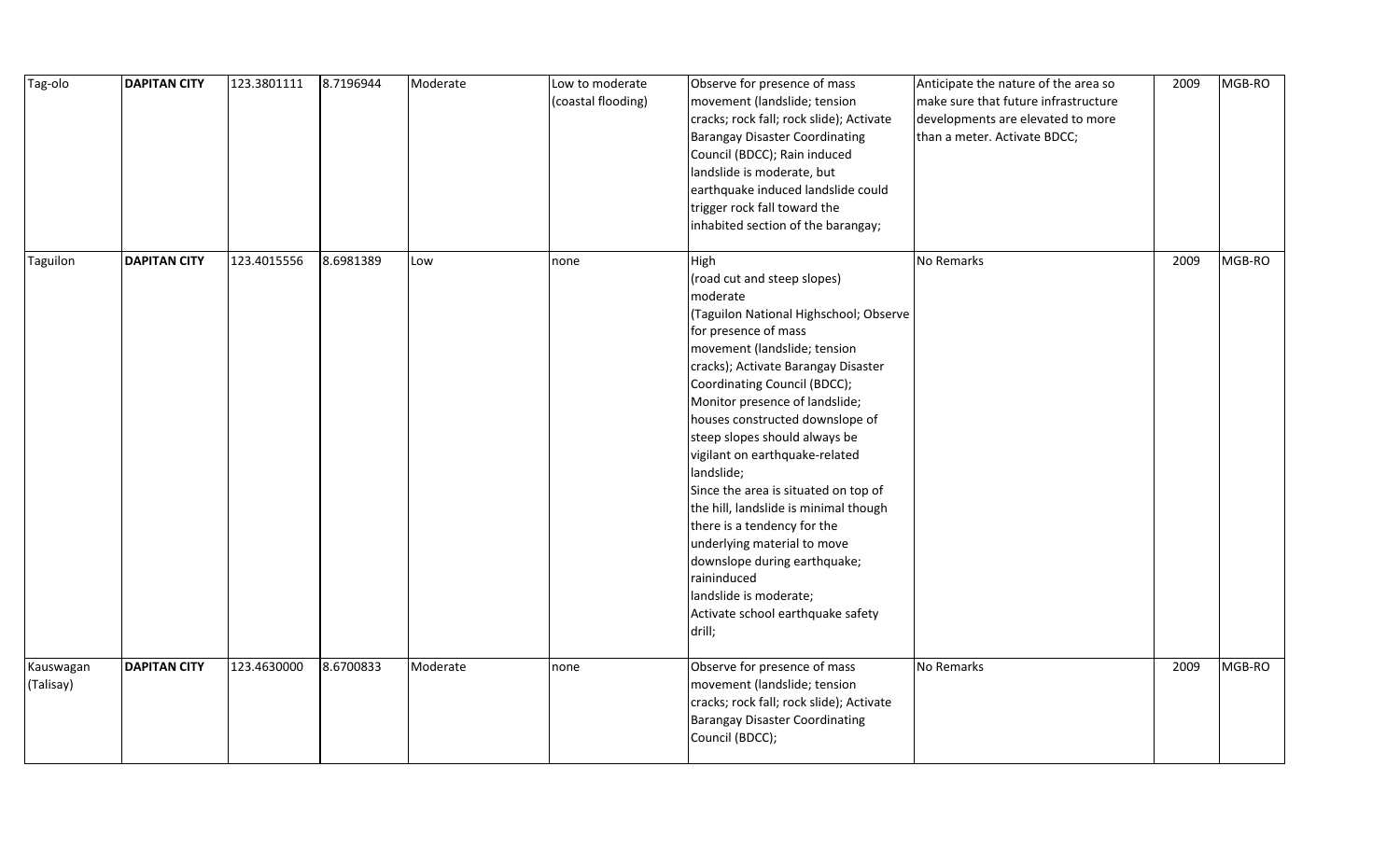| Tag-olo                | <b>DAPITAN CITY</b> | 123.3801111 | 8.7196944 | Moderate | Low to moderate<br>(coastal flooding) | Observe for presence of mass<br>movement (landslide; tension<br>cracks; rock fall; rock slide); Activate<br><b>Barangay Disaster Coordinating</b><br>Council (BDCC); Rain induced<br>landslide is moderate, but<br>earthquake induced landslide could<br>trigger rock fall toward the<br>inhabited section of the barangay;                                                                                                                                                                                                                                                                                                                           | Anticipate the nature of the area so<br>make sure that future infrastructure<br>developments are elevated to more<br>than a meter. Activate BDCC; | 2009 | MGB-RO |
|------------------------|---------------------|-------------|-----------|----------|---------------------------------------|-------------------------------------------------------------------------------------------------------------------------------------------------------------------------------------------------------------------------------------------------------------------------------------------------------------------------------------------------------------------------------------------------------------------------------------------------------------------------------------------------------------------------------------------------------------------------------------------------------------------------------------------------------|---------------------------------------------------------------------------------------------------------------------------------------------------|------|--------|
| Taguilon               | <b>DAPITAN CITY</b> | 123.4015556 | 8.6981389 | Low      | none                                  | High<br>(road cut and steep slopes)<br>moderate<br>(Taguilon National Highschool; Observe<br>for presence of mass<br>movement (landslide; tension<br>cracks); Activate Barangay Disaster<br>Coordinating Council (BDCC);<br>Monitor presence of landslide;<br>houses constructed downslope of<br>steep slopes should always be<br>vigilant on earthquake-related<br>landslide;<br>Since the area is situated on top of<br>the hill, landslide is minimal though<br>there is a tendency for the<br>underlying material to move<br>downslope during earthquake;<br>raininduced<br>landslide is moderate;<br>Activate school earthquake safety<br>drill; | No Remarks                                                                                                                                        | 2009 | MGB-RO |
| Kauswagan<br>(Talisay) | <b>DAPITAN CITY</b> | 123.4630000 | 8.6700833 | Moderate | none                                  | Observe for presence of mass<br>movement (landslide; tension<br>cracks; rock fall; rock slide); Activate<br><b>Barangay Disaster Coordinating</b><br>Council (BDCC);                                                                                                                                                                                                                                                                                                                                                                                                                                                                                  | No Remarks                                                                                                                                        | 2009 | MGB-RO |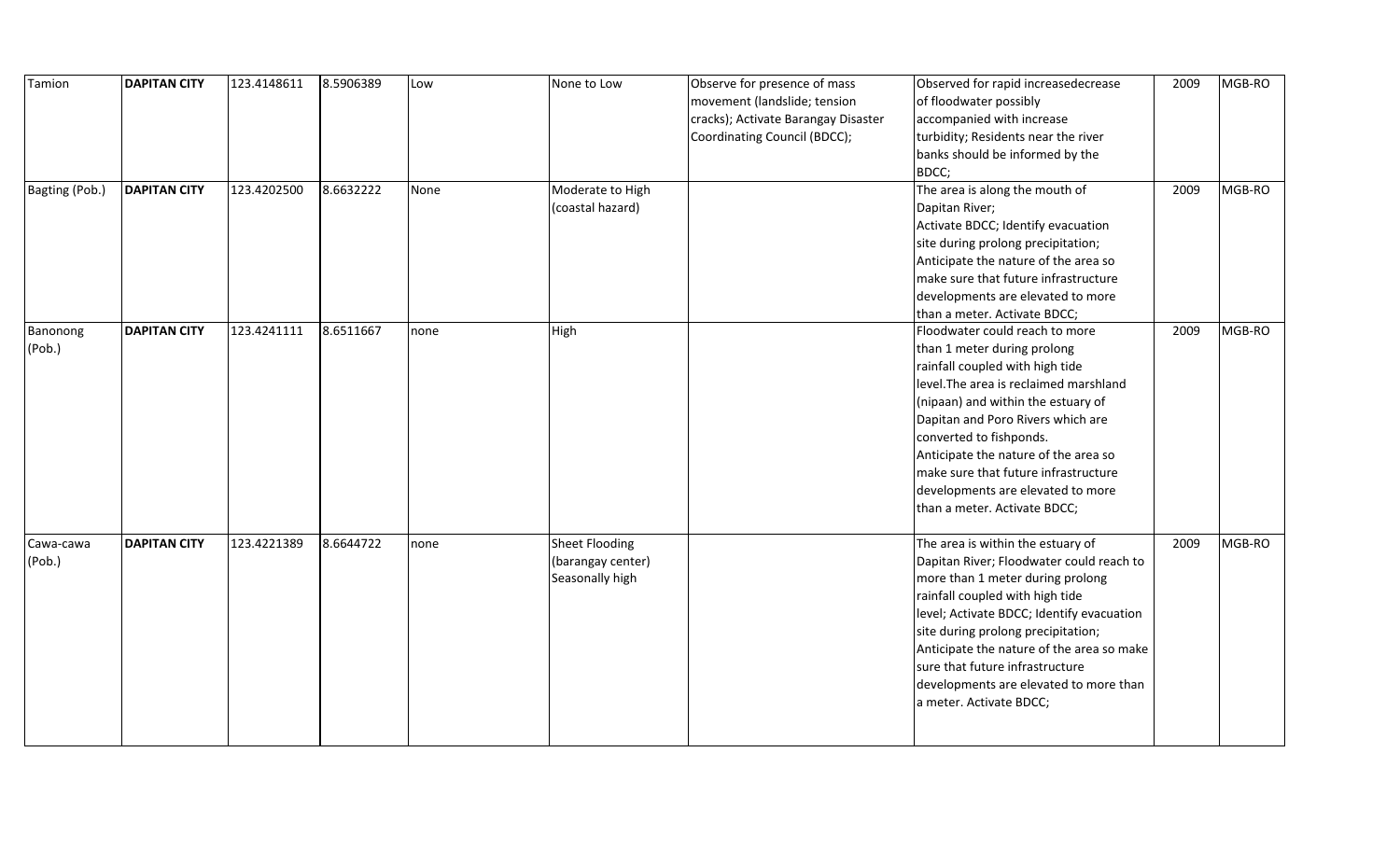| Tamion              | <b>DAPITAN CITY</b> | 123.4148611 | 8.5906389 | Low  | None to Low                                            | Observe for presence of mass<br>movement (landslide; tension<br>cracks); Activate Barangay Disaster<br>Coordinating Council (BDCC); | Observed for rapid increasedecrease<br>of floodwater possibly<br>accompanied with increase<br>turbidity; Residents near the river<br>banks should be informed by the                                                                                                                                                                                                                                  | 2009 | MGB-RO |
|---------------------|---------------------|-------------|-----------|------|--------------------------------------------------------|-------------------------------------------------------------------------------------------------------------------------------------|-------------------------------------------------------------------------------------------------------------------------------------------------------------------------------------------------------------------------------------------------------------------------------------------------------------------------------------------------------------------------------------------------------|------|--------|
| Bagting (Pob.)      | <b>DAPITAN CITY</b> | 123.4202500 | 8.6632222 | None | Moderate to High<br>(coastal hazard)                   |                                                                                                                                     | BDCC;<br>The area is along the mouth of<br>Dapitan River;<br>Activate BDCC; Identify evacuation<br>site during prolong precipitation;<br>Anticipate the nature of the area so<br>make sure that future infrastructure<br>developments are elevated to more<br>than a meter. Activate BDCC;                                                                                                            | 2009 | MGB-RO |
| Banonong<br>(Pob.)  | <b>DAPITAN CITY</b> | 123.4241111 | 8.6511667 | none | High                                                   |                                                                                                                                     | Floodwater could reach to more<br>than 1 meter during prolong<br>rainfall coupled with high tide<br>level. The area is reclaimed marshland<br>(nipaan) and within the estuary of<br>Dapitan and Poro Rivers which are<br>converted to fishponds.<br>Anticipate the nature of the area so<br>make sure that future infrastructure<br>developments are elevated to more<br>than a meter. Activate BDCC; | 2009 | MGB-RO |
| Cawa-cawa<br>(Pob.) | <b>DAPITAN CITY</b> | 123.4221389 | 8.6644722 | none | Sheet Flooding<br>(barangay center)<br>Seasonally high |                                                                                                                                     | The area is within the estuary of<br>Dapitan River; Floodwater could reach to<br>more than 1 meter during prolong<br>rainfall coupled with high tide<br>level; Activate BDCC; Identify evacuation<br>site during prolong precipitation;<br>Anticipate the nature of the area so make<br>sure that future infrastructure<br>developments are elevated to more than<br>a meter. Activate BDCC;          | 2009 | MGB-RO |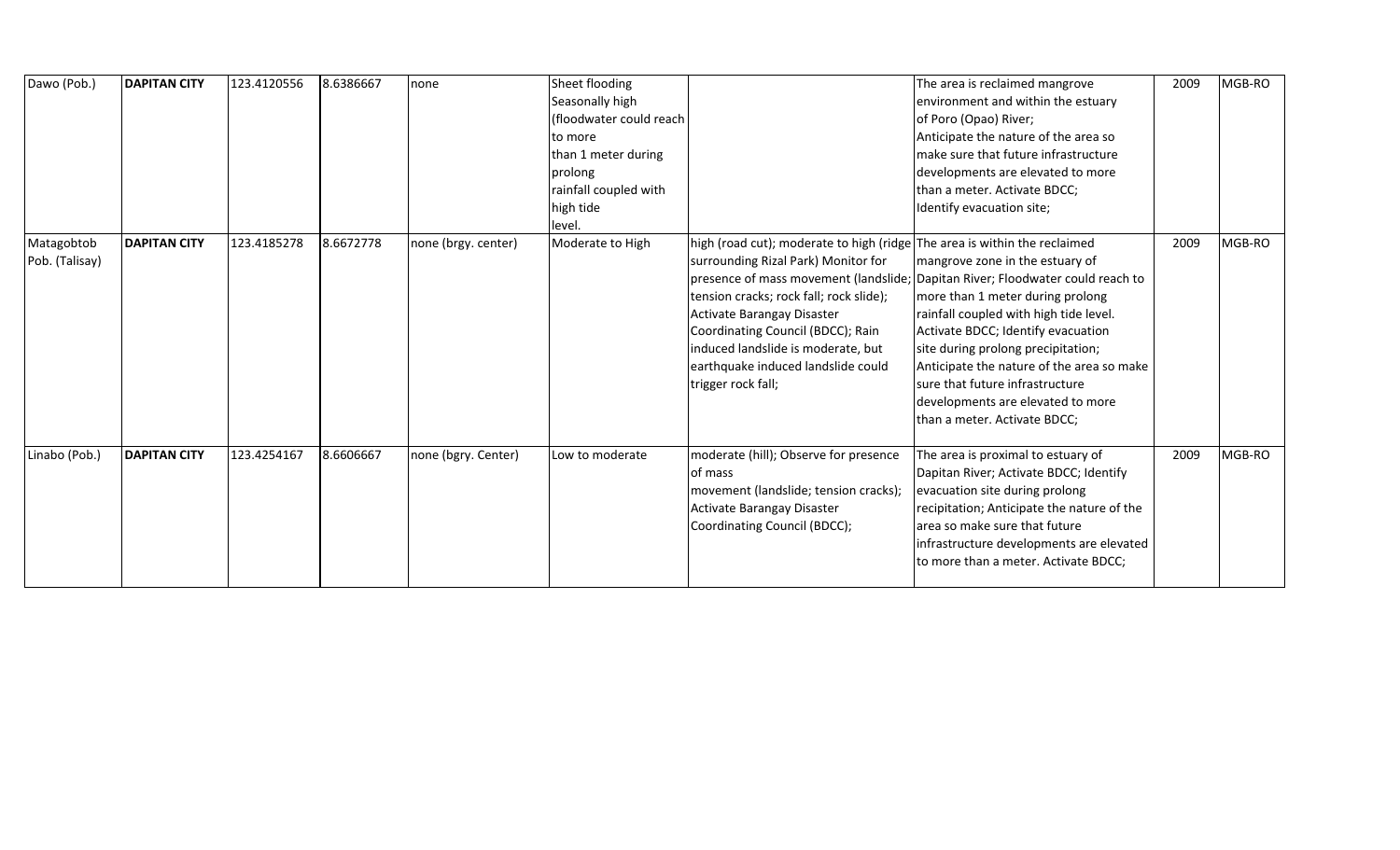| Dawo (Pob.)                  | <b>DAPITAN CITY</b> | 123.4120556 | 8.6386667 | none                | Sheet flooding<br>Seasonally high<br>(floodwater could reach<br>to more<br>than 1 meter during<br>prolong<br>rainfall coupled with<br>high tide<br>level. |                                                                                                                                                                                                                                                                                                                                  | The area is reclaimed mangrove<br>environment and within the estuary<br>of Poro (Opao) River;<br>Anticipate the nature of the area so<br>make sure that future infrastructure<br>developments are elevated to more<br>than a meter. Activate BDCC;<br>Identify evacuation site;                                                                                                                                                  | 2009 | MGB-RO |
|------------------------------|---------------------|-------------|-----------|---------------------|-----------------------------------------------------------------------------------------------------------------------------------------------------------|----------------------------------------------------------------------------------------------------------------------------------------------------------------------------------------------------------------------------------------------------------------------------------------------------------------------------------|----------------------------------------------------------------------------------------------------------------------------------------------------------------------------------------------------------------------------------------------------------------------------------------------------------------------------------------------------------------------------------------------------------------------------------|------|--------|
| Matagobtob<br>Pob. (Talisay) | <b>DAPITAN CITY</b> | 123.4185278 | 8.6672778 | none (brgy. center) | Moderate to High                                                                                                                                          | high (road cut); moderate to high (ridge The area is within the reclaimed<br>surrounding Rizal Park) Monitor for<br>tension cracks; rock fall; rock slide);<br>Activate Barangay Disaster<br>Coordinating Council (BDCC); Rain<br>induced landslide is moderate, but<br>earthquake induced landslide could<br>trigger rock fall; | mangrove zone in the estuary of<br>presence of mass movement (landslide; Dapitan River; Floodwater could reach to<br>more than 1 meter during prolong<br>rainfall coupled with high tide level.<br>Activate BDCC; Identify evacuation<br>site during prolong precipitation;<br>Anticipate the nature of the area so make<br>sure that future infrastructure<br>developments are elevated to more<br>than a meter. Activate BDCC; | 2009 | MGB-RO |
| Linabo (Pob.)                | <b>DAPITAN CITY</b> | 123.4254167 | 8.6606667 | none (bgry. Center) | Low to moderate                                                                                                                                           | moderate (hill); Observe for presence<br>of mass<br>movement (landslide; tension cracks);<br>Activate Barangay Disaster<br>Coordinating Council (BDCC);                                                                                                                                                                          | The area is proximal to estuary of<br>Dapitan River; Activate BDCC; Identify<br>evacuation site during prolong<br>recipitation; Anticipate the nature of the<br>area so make sure that future<br>infrastructure developments are elevated<br>to more than a meter. Activate BDCC;                                                                                                                                                | 2009 | MGB-RO |